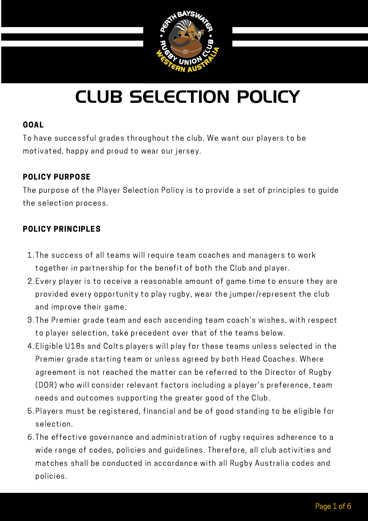

#### GOAL

To have successful grades throughout the club. We want our players to be motivated, happy and proud to wear our jersey.

### POLICY PURPOSE

The purpose of the Player Selection Policy is to provide a set of principles to guide the selection process.

#### PERTH BAYSWATER RUGBY UNION CLUB IN THE RUGBY UNION CLUB IN THE RUGBY UNION CLUB IN THE RUGBY UNION CLUB IN TH<br>PERSON CLUB IN THE RUGBY UNION CLUB IN THE RUGBY UNION CLUB IN THE RUGBY UNION CLUB IN THE RUGBY UNION CONTINU POLICY PRINCIPLES

- 1. The success of all teams will require team coaches and managers to work together in partnership for the benefit of both the Club and player.
- Every player is to receive a reasonable amount of game time to ensure they are 2. provided every opportunity to play rugby, wear the jumper/represent the club and improve their game.
- 3. The Premier grade team and each ascending team coach's wishes, with respect to player selection, take precedent over that of the teams below.
- Eligible U18s and Colts players will play for these teams unless selected in the 4. Premier grade starting team or unless agreed by both Head Coaches. Where agreement is not reached the matter can be referred to the Director of Rugby (DOR) who will consider relevant factors including a player's preference, team needs and outcomes supporting the greater good of the Club.
- Players must be registered, financial and be of good standing to be eligible for 5. selection.
- The effective governance and administration of rugby requires adherence to a 6. wide range of codes, policies and guidelines. Therefore, all club activities and matches shall be conducted in accordance with all Rugby [Australia](https://australia.rugby/about/codes-and-policies/all-codes-and-policies) codes and [policies.](https://australia.rugby/about/codes-and-policies/all-codes-and-policies)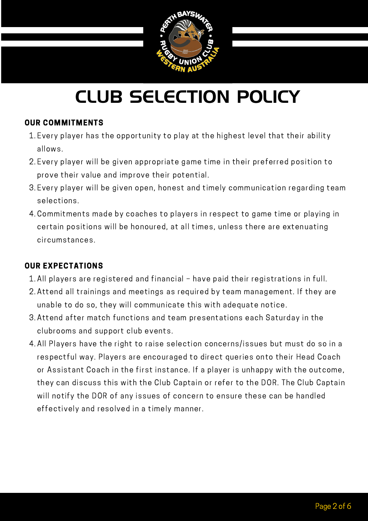

### OUR COMMITMENTS

- Every player has the opportunity to play at the highest level that their ability 1. allows.
- 2. Every player will be given appropriate game time in their preferred position to prove their value and improve their potential.
- 3. Every player will be given open, honest and timely communication regarding team selections.
- certain positions will be honoured, at all times, unless there are extenuating Commitments made by coaches to players in respect to game time or playing in 4. circumstances.

### OUR EXPECTATIONS

- All players are registered and financial have paid their registrations in full. 1.
- Attend all trainings and meetings as required by team management. If they are 2. unable to do so, they will communicate this with adequate notice.
- Attend after match functions and team presentations each Saturday in the 3. clubrooms and support club events.
- All Players have the right to raise selection concerns/issues but must do so in a 4. respectful way. Players are encouraged to direct queries onto their Head Coach or Assistant Coach in the first instance. If a player is unhappy with the outcome, they can discuss this with the Club Captain or refer to the DOR. The Club Captain will notify the DOR of any issues of concern to ensure these can be handled effectively and resolved in a timely manner.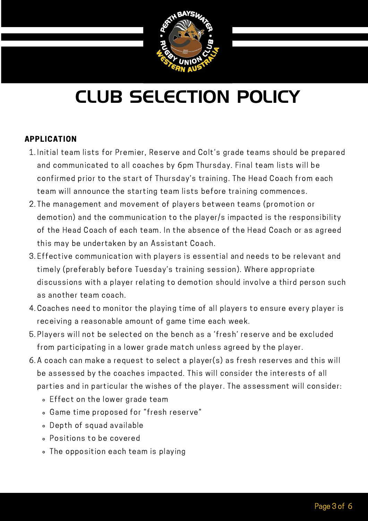

### APPLICATION

- Initial team lists for Premier, Reserve and Colt's grade teams should be prepared 1. and communicated to all coaches by 6pm Thursday. Final team lists will be confirmed prior to the start of Thursday's training. The Head Coach from each team will announce the starting team lists before training commences.
- aemotion) and the communication to the player) s impacted is the responsionity<br>of the Head Coach of each team. In the absence of the Head Coach or as agreed 2. The management and movement of players between teams (promotion or demotion) and the communication to the player/s impacted is the responsibility this may be undertaken by an Assistant Coach.
- Effective communication with players is essential and needs to be relevant and 3. timely (preferably before Tuesday's training session). Where appropriate discussions with a player relating to demotion should involve a third person such as another team coach.
- Coaches need to monitor the playing time of all players to ensure every player is 4. receiving a reasonable amount of game time each week.
- Players will not be selected on the bench as a 'fresh' reserve and be excluded 5. from participating in a lower grade match unless agreed by the player.
- A coach can make a request to select a player(s) as fresh reserves and this will 6. be assessed by the coaches impacted. This will consider the interests of all parties and in particular the wishes of the player. The assessment will consider:
	- Effect on the lower grade team
	- Game time proposed for "fresh reserve"
	- Depth of squad available
	- Positions to be covered
	- The opposition each team is playing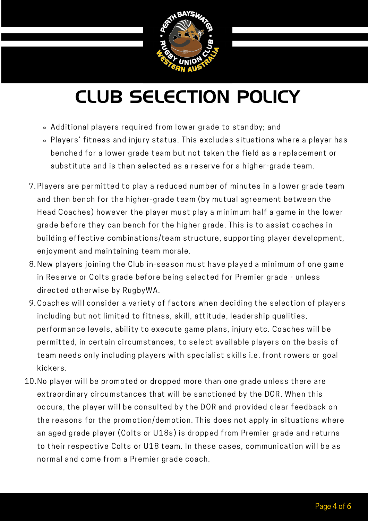

- Additional players required from lower grade to standby; and
- Players' fitness and injury status. This excludes situations where a player has benched for a lower grade team but not taken the field as a replacement or substitute and is then selected as a reserve for a higher-grade team.
- erth Bayswater Club<br>Head Coaches) however the player must play a minimum half a game in the lower Players are permitted to play a reduced number of minutes in a lower grade team 7. and then bench for the higher-grade team (by mutual agreement between the grade before they can bench for the higher grade. This is to assist coaches in building effective combinations/team structure, supporting player development, enjoyment and maintaining team morale.
- 8. New players joining the Club in-season must have played a minimum of one game in Reserve or Colts grade before being selected for Premier grade - unless directed otherwise by RugbyWA.
- Coaches will consider a variety of factors when deciding the selection of players 9. including but not limited to fitness, skill, attitude, leadership qualities, performance levels, ability to execute game plans, injury etc. Coaches will be permitted, in certain circumstances, to select available players on the basis of team needs only including players with specialist skills i.e. front rowers or goal kickers.
- 10. No player will be promoted or dropped more than one grade unless there are extraordinary circumstances that will be sanctioned by the DOR. When this occurs, the player will be consulted by the DOR and provided clear feedback on the reasons for the promotion/demotion. This does not apply in situations where an aged grade player (Colts or U18s) is dropped from Premier grade and returns to their respective Colts or U18 team. In these cases, communication will be as normal and come from a Premier grade coach.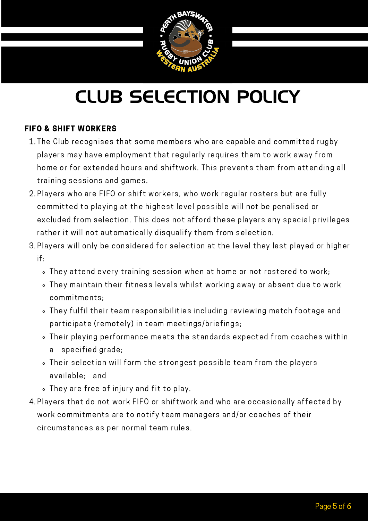

### FIFO & SHIFT WORKERS

- 1. The Club recognises that some members who are capable and committed rugby players may have employment that regularly requires them to work away from home or for extended hours and shiftwork. This prevents them from attending all training sessions and games.
- excluded from selection. This does not afford these players any special privileges Players who are FIFO or shift workers, who work regular rosters but are fully 2. committed to playing at the highest level possible will not be penalised or rather it will not automatically disqualify them from selection.
- 3. Players will only be considered for selection at the level they last played or higher if:
	- They attend every training session when at home or not rostered to work;
	- They maintain their fitness levels whilst working away or absent due to work commitments;
	- They fulfil their team responsibilities including reviewing match footage and participate (remotely) in team meetings/briefings;
	- Their playing performance meets the standards expected from coaches within a specified grade;
	- Their selection will form the strongest possible team from the players available; and
	- They are free of injury and fit to play.
- 4. Players that do not work FIFO or shiftwork and who are occasionally affected by work commitments are to notify team managers and/or coaches of their circumstances as per normal team rules.